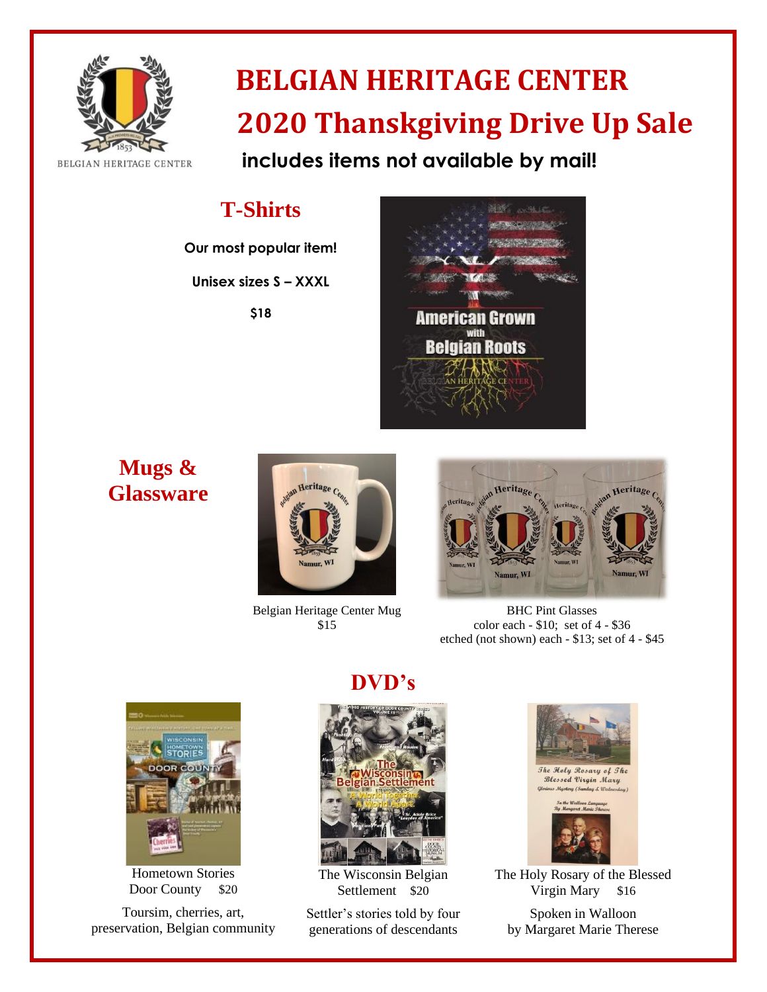

# **BELGIAN HERITAGE CENTER 2020 Thanskgiving Drive Up Sale**

 **includes items not available by mail!**

# **T-Shirts**

**Our most popular item!**

**Unisex sizes S – XXXL**

**\$18**



**Mugs & Glassware**



Belgian Heritage Center Mug \$15



BHC Pint Glasses color each - \$10; set of 4 - \$36 etched (not shown) each - \$13; set of 4 - \$45



Hometown Stories Door County \$20

Toursim, cherries, art, preservation, Belgian community

### **DVD's**



The Wisconsin Belgian Settlement \$20

Settler's stories told by four generations of descendants





The Holy Rosary of the Blessed Virgin Mary \$16

Spoken in Walloon by Margaret Marie Therese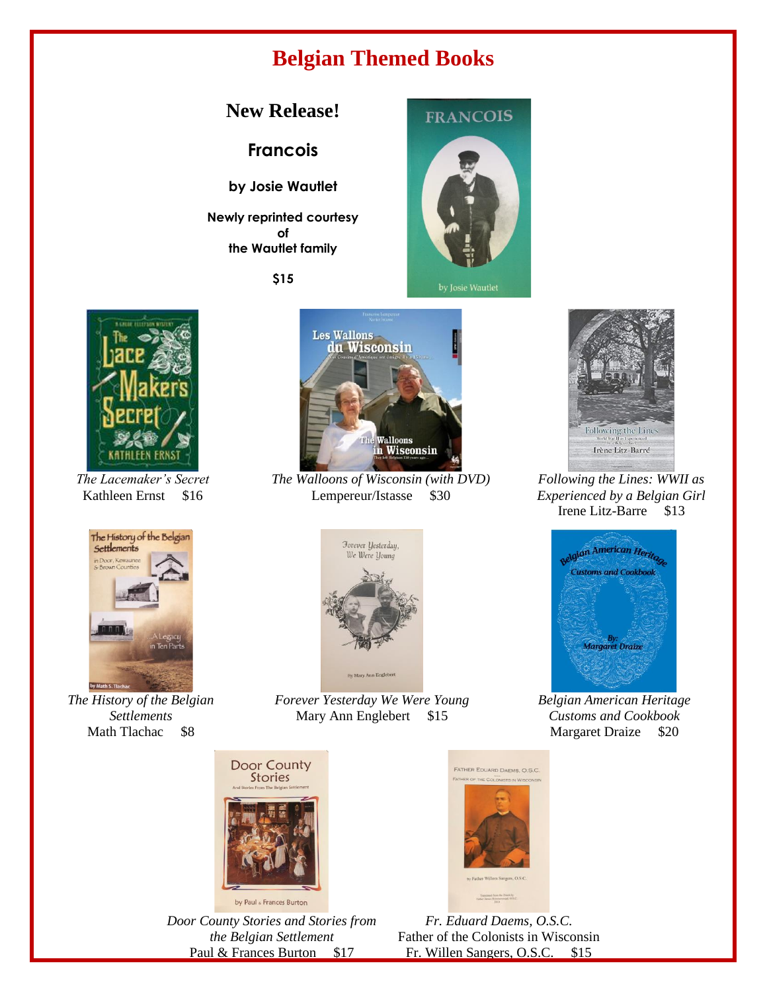#### **Belgian Themed Books**

#### **New Release!**

**Francois** 

**by Josie Wautlet**

**Newly reprinted courtesy of the Wautlet family**

**\$15**



by Josie Wautlet



*The Lacemaker's Secret* Kathleen Ernst \$16



*The History of the Belgian Settlements* Math Tlachac \$8



*The Walloons of Wisconsin (with DVD)* Lempereur/Istasse \$30



*Forever Yesterday We Were Young* Mary Ann Englebert \$15



*Door County Stories and Stories from the Belgian Settlement* Paul & Frances Burton \$17



*Following the Lines: WWII as Experienced by a Belgian Girl* Irene Litz-Barre \$13



*Belgian American Heritage Customs and Cookbook* Margaret Draize \$20



*Fr. Eduard Daems, O.S.C.* Father of the Colonists in Wisconsin Fr. Willen Sangers, O.S.C. \$15

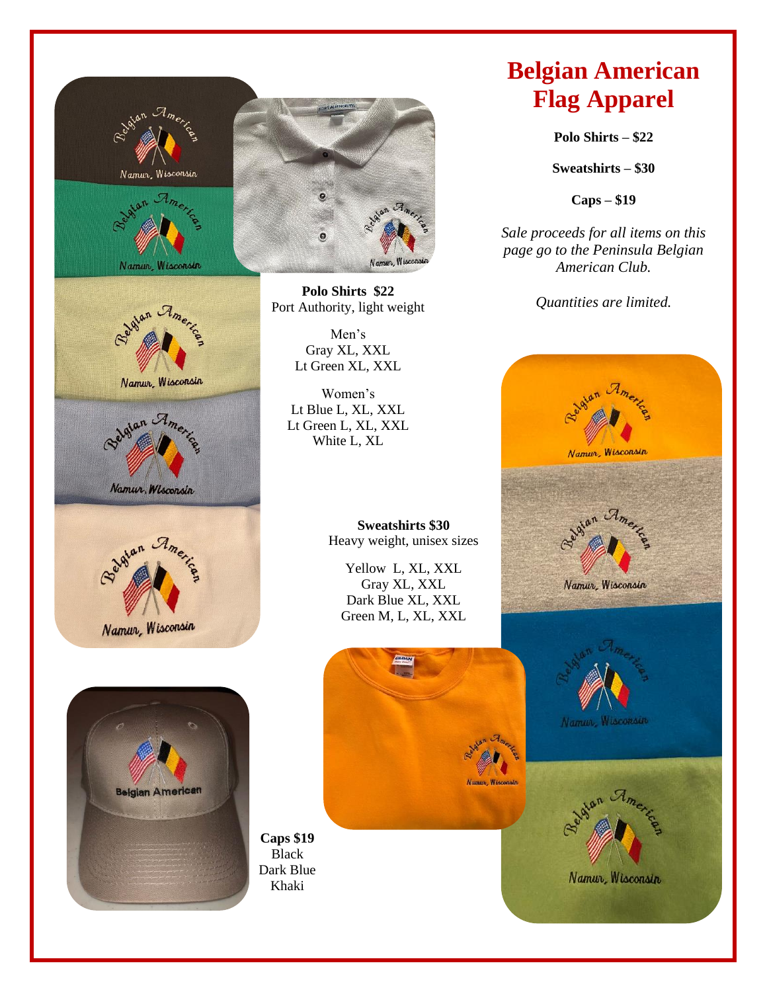

## **Belgian American Flag Apparel**

**Polo Shirts – \$22**

**Sweatshirts – \$30**

**Caps – \$19** 

*Sale proceeds for all items on this page go to the Peninsula Belgian American Club.*

*Quantities are limited.*





Namur, Wisconsin